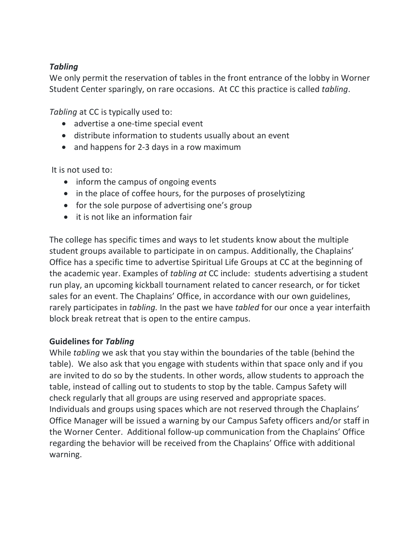## *Tabling*

We only permit the reservation of tables in the front entrance of the lobby in Worner Student Center sparingly, on rare occasions. At CC this practice is called *tabling*.

*Tabling* at CC is typically used to:

- advertise a one-time special event
- distribute information to students usually about an event
- and happens for 2-3 days in a row maximum

It is not used to:

- inform the campus of ongoing events
- in the place of coffee hours, for the purposes of proselytizing
- for the sole purpose of advertising one's group
- it is not like an information fair

The college has specific times and ways to let students know about the multiple student groups available to participate in on campus. Additionally, the Chaplains' Office has a specific time to advertise Spiritual Life Groups at CC at the beginning of the academic year. Examples of *tabling at* CC include: students advertising a student run play, an upcoming kickball tournament related to cancer research, or for ticket sales for an event. The Chaplains' Office, in accordance with our own guidelines, rarely participates in *tabling.* In the past we have *tabled* for our once a year interfaith block break retreat that is open to the entire campus.

#### **Guidelines for** *Tabling*

While *tabling* we ask that you stay within the boundaries of the table (behind the table). We also ask that you engage with students within that space only and if you are invited to do so by the students. In other words, allow students to approach the table, instead of calling out to students to stop by the table. Campus Safety will check regularly that all groups are using reserved and appropriate spaces. Individuals and groups using spaces which are not reserved through the Chaplains' Office Manager will be issued a warning by our Campus Safety officers and/or staff in the Worner Center. Additional follow-up communication from the Chaplains' Office regarding the behavior will be received from the Chaplains' Office with additional warning.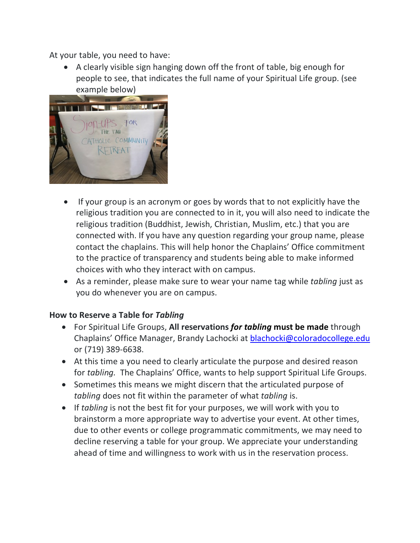At your table, you need to have:

• A clearly visible sign hanging down off the front of table, big enough for people to see, that indicates the full name of your Spiritual Life group. (see example below)



- If your group is an acronym or goes by words that to not explicitly have the religious tradition you are connected to in it, you will also need to indicate the religious tradition (Buddhist, Jewish, Christian, Muslim, etc.) that you are connected with. If you have any question regarding your group name, please contact the chaplains. This will help honor the Chaplains' Office commitment to the practice of transparency and students being able to make informed choices with who they interact with on campus.
- As a reminder, please make sure to wear your name tag while *tabling* just as you do whenever you are on campus.

#### **How to Reserve a Table for** *Tabling*

- For Spiritual Life Groups, **All reservations** *for tabling* **must be made** through Chaplains' Office Manager, Brandy Lachocki at **blachocki@coloradocollege.edu** or (719) 389-6638.
- At this time a you need to clearly articulate the purpose and desired reason for *tabling.* The Chaplains' Office, wants to help support Spiritual Life Groups.
- Sometimes this means we might discern that the articulated purpose of *tabling* does not fit within the parameter of what *tabling* is.
- If *tabling* is not the best fit for your purposes, we will work with you to brainstorm a more appropriate way to advertise your event. At other times, due to other events or college programmatic commitments, we may need to decline reserving a table for your group. We appreciate your understanding ahead of time and willingness to work with us in the reservation process.